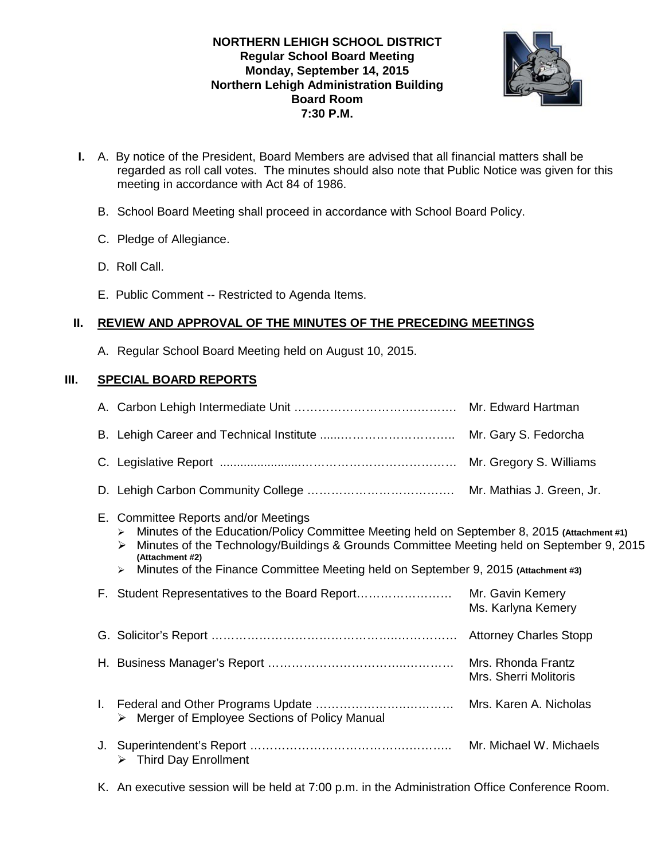# **NORTHERN LEHIGH SCHOOL DISTRICT Regular School Board Meeting Monday, September 14, 2015 Northern Lehigh Administration Building Board Room 7:30 P.M.**



- **I.** A. By notice of the President, Board Members are advised that all financial matters shall be regarded as roll call votes. The minutes should also note that Public Notice was given for this meeting in accordance with Act 84 of 1986.
	- B. School Board Meeting shall proceed in accordance with School Board Policy.
	- C. Pledge of Allegiance.
	- D. Roll Call.
	- E. Public Comment -- Restricted to Agenda Items.

# **II. REVIEW AND APPROVAL OF THE MINUTES OF THE PRECEDING MEETINGS**

A. Regular School Board Meeting held on August 10, 2015.

# **III. SPECIAL BOARD REPORTS**

|    | E. Committee Reports and/or Meetings<br>Minutes of the Education/Policy Committee Meeting held on September 8, 2015 (Attachment #1)<br>$\blacktriangleright$<br>Minutes of the Technology/Buildings & Grounds Committee Meeting held on September 9, 2015<br>➤<br>(Attachment #2)<br>Minutes of the Finance Committee Meeting held on September 9, 2015 (Attachment #3)<br>$\blacktriangleright$ |                                             |
|----|--------------------------------------------------------------------------------------------------------------------------------------------------------------------------------------------------------------------------------------------------------------------------------------------------------------------------------------------------------------------------------------------------|---------------------------------------------|
|    | F. Student Representatives to the Board Report                                                                                                                                                                                                                                                                                                                                                   | Mr. Gavin Kemery<br>Ms. Karlyna Kemery      |
|    |                                                                                                                                                                                                                                                                                                                                                                                                  |                                             |
|    |                                                                                                                                                                                                                                                                                                                                                                                                  | Mrs. Rhonda Frantz<br>Mrs. Sherri Molitoris |
| L. | > Merger of Employee Sections of Policy Manual                                                                                                                                                                                                                                                                                                                                                   |                                             |
|    | $\triangleright$ Third Day Enrollment                                                                                                                                                                                                                                                                                                                                                            | Mr. Michael W. Michaels                     |
|    |                                                                                                                                                                                                                                                                                                                                                                                                  |                                             |

K. An executive session will be held at 7:00 p.m. in the Administration Office Conference Room.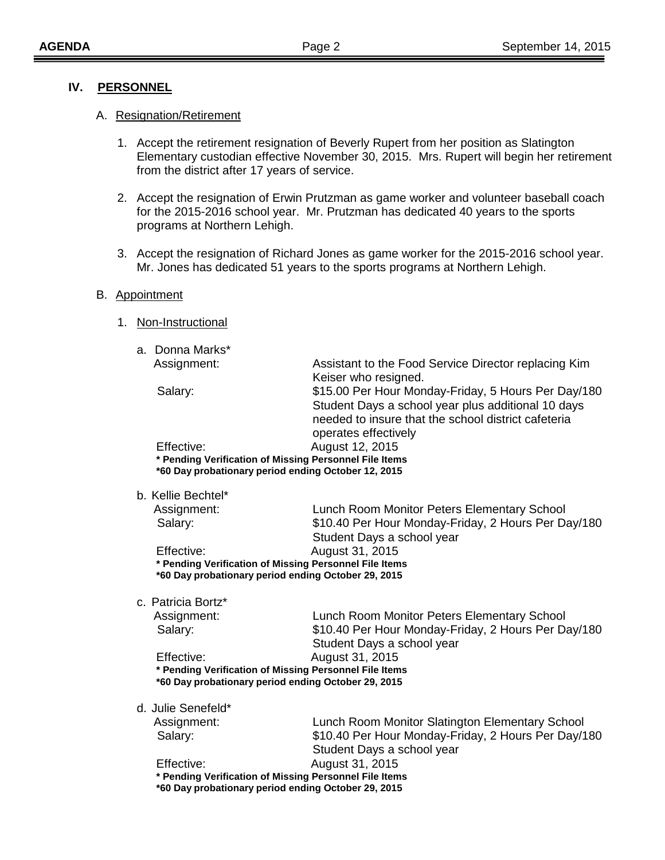## **IV. PERSONNEL**

#### A. Resignation/Retirement

- 1. Accept the retirement resignation of Beverly Rupert from her position as Slatington Elementary custodian effective November 30, 2015. Mrs. Rupert will begin her retirement from the district after 17 years of service.
- 2. Accept the resignation of Erwin Prutzman as game worker and volunteer baseball coach for the 2015-2016 school year. Mr. Prutzman has dedicated 40 years to the sports programs at Northern Lehigh.
- 3. Accept the resignation of Richard Jones as game worker for the 2015-2016 school year. Mr. Jones has dedicated 51 years to the sports programs at Northern Lehigh.

#### B. Appointment

#### 1. Non-Instructional

| a. Donna Marks* |                                                        |  |  |
|-----------------|--------------------------------------------------------|--|--|
| Assignment:     | Assistant to the Food Service Director replacing Kim   |  |  |
|                 | Keiser who resigned.                                   |  |  |
| Salary:         | \$15.00 Per Hour Monday-Friday, 5 Hours Per Day/180    |  |  |
|                 | Student Days a school year plus additional 10 days     |  |  |
|                 | needed to insure that the school district cafeteria    |  |  |
|                 | operates effectively                                   |  |  |
| Effective:      | August 12, 2015                                        |  |  |
|                 | * Pending Verification of Missing Personnel File Items |  |  |
|                 | *60 Day probationary period ending October 12, 2015    |  |  |
|                 |                                                        |  |  |

| Assignment:                                         | Lunch Room Monitor Peters Elementary School            |  |  |
|-----------------------------------------------------|--------------------------------------------------------|--|--|
| Salary:                                             | \$10.40 Per Hour Monday-Friday, 2 Hours Per Day/180    |  |  |
|                                                     | Student Days a school year                             |  |  |
| Effective:                                          | August 31, 2015                                        |  |  |
|                                                     | * Pending Verification of Missing Personnel File Items |  |  |
| *60 Day probationary period ending October 29, 2015 |                                                        |  |  |
|                                                     |                                                        |  |  |

c. Patricia Bortz\*

| Assignment:                                            | Lunch Room Monitor Peters Elementary School         |  |
|--------------------------------------------------------|-----------------------------------------------------|--|
| Salary:                                                | \$10.40 Per Hour Monday-Friday, 2 Hours Per Day/180 |  |
|                                                        | Student Days a school year                          |  |
| Effective:                                             | August 31, 2015                                     |  |
| * Pending Verification of Missing Personnel File Items |                                                     |  |
| *60 Day probationary period ending October 29, 2015    |                                                     |  |

d. Julie Senefeld\*

|                                                        | Assignment:                                         | Lunch Room Monitor Slatington Elementary School     |  |
|--------------------------------------------------------|-----------------------------------------------------|-----------------------------------------------------|--|
|                                                        | Salary:                                             | \$10.40 Per Hour Monday-Friday, 2 Hours Per Day/180 |  |
|                                                        |                                                     | Student Days a school year                          |  |
|                                                        | Effective:                                          | August 31, 2015                                     |  |
| * Pending Verification of Missing Personnel File Items |                                                     |                                                     |  |
|                                                        | *60 Day probationary period ending October 29, 2015 |                                                     |  |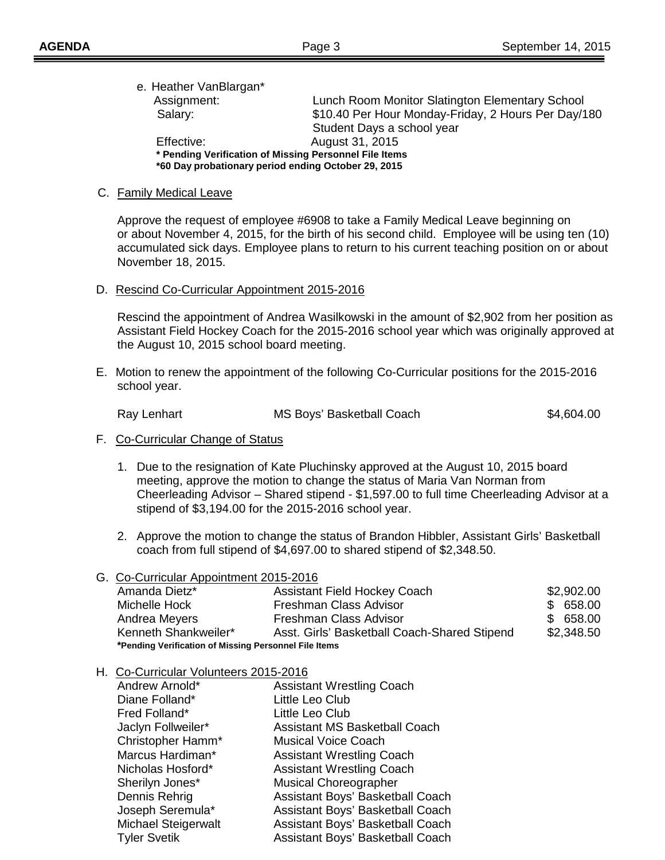| e. Heather VanBlargan*                                 |                                                     |
|--------------------------------------------------------|-----------------------------------------------------|
| Assignment:                                            | Lunch Room Monitor Slatington Elementary School     |
| Salary:                                                | \$10.40 Per Hour Monday-Friday, 2 Hours Per Day/180 |
|                                                        | Student Days a school year                          |
| Effective:                                             | August 31, 2015                                     |
| * Pending Verification of Missing Personnel File Items |                                                     |
|                                                        | *60 Day probationary period ending October 29, 2015 |

## C. Family Medical Leave

Approve the request of employee #6908 to take a Family Medical Leave beginning on or about November 4, 2015, for the birth of his second child. Employee will be using ten (10) accumulated sick days. Employee plans to return to his current teaching position on or about November 18, 2015.

D. Rescind Co-Curricular Appointment 2015-2016

Rescind the appointment of Andrea Wasilkowski in the amount of \$2,902 from her position as Assistant Field Hockey Coach for the 2015-2016 school year which was originally approved at the August 10, 2015 school board meeting.

E. Motion to renew the appointment of the following Co-Curricular positions for the 2015-2016 school year.

Ray Lenhart **MS Boys' Basketball Coach** \$4,604.00

- F. Co-Curricular Change of Status
	- 1. Due to the resignation of Kate Pluchinsky approved at the August 10, 2015 board meeting, approve the motion to change the status of Maria Van Norman from Cheerleading Advisor – Shared stipend - \$1,597.00 to full time Cheerleading Advisor at a stipend of \$3,194.00 for the 2015-2016 school year.
	- 2. Approve the motion to change the status of Brandon Hibbler, Assistant Girls' Basketball coach from full stipend of \$4,697.00 to shared stipend of \$2,348.50.

## G. Co-Curricular Appointment 2015-2016

| Amanda Dietz*                                         | <b>Assistant Field Hockey Coach</b>          | \$2,902.00 |
|-------------------------------------------------------|----------------------------------------------|------------|
| Michelle Hock                                         | Freshman Class Advisor                       | \$658.00   |
| Andrea Meyers                                         | Freshman Class Advisor                       | \$658.00   |
| Kenneth Shankweiler*                                  | Asst. Girls' Basketball Coach-Shared Stipend | \$2,348.50 |
| *Pending Verification of Missing Personnel File Items |                                              |            |

## H. Co-Curricular Volunteers 2015-2016

| Andrew Arnold*             | <b>Assistant Wrestling Coach</b>     |
|----------------------------|--------------------------------------|
| Diane Folland*             | Little Leo Club                      |
| Fred Folland*              | Little Leo Club                      |
| Jaclyn Follweiler*         | <b>Assistant MS Basketball Coach</b> |
| Christopher Hamm*          | <b>Musical Voice Coach</b>           |
| Marcus Hardiman*           | <b>Assistant Wrestling Coach</b>     |
| Nicholas Hosford*          | <b>Assistant Wrestling Coach</b>     |
| Sherilyn Jones*            | <b>Musical Choreographer</b>         |
| Dennis Rehrig              | Assistant Boys' Basketball Coach     |
| Joseph Seremula*           | Assistant Boys' Basketball Coach     |
| <b>Michael Steigerwalt</b> | Assistant Boys' Basketball Coach     |
| <b>Tyler Svetik</b>        | Assistant Boys' Basketball Coach     |
|                            |                                      |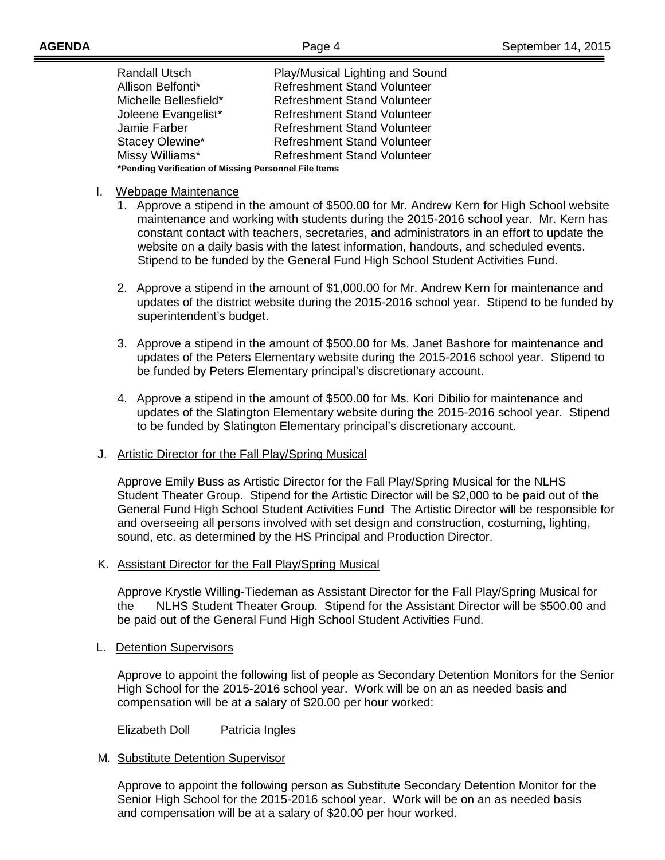| <b>Randall Utsch</b>                                  | Play/Musical Lighting and Sound    |  |
|-------------------------------------------------------|------------------------------------|--|
| Allison Belfonti*                                     | Refreshment Stand Volunteer        |  |
| Michelle Bellesfield*                                 | <b>Refreshment Stand Volunteer</b> |  |
| Joleene Evangelist*                                   | <b>Refreshment Stand Volunteer</b> |  |
| Jamie Farber                                          | <b>Refreshment Stand Volunteer</b> |  |
| Stacey Olewine*                                       | <b>Refreshment Stand Volunteer</b> |  |
| Missy Williams*                                       | <b>Refreshment Stand Volunteer</b> |  |
| *Pending Verification of Missing Personnel File Items |                                    |  |

# I. Webpage Maintenance

- 1. Approve a stipend in the amount of \$500.00 for Mr. Andrew Kern for High School website maintenance and working with students during the 2015-2016 school year. Mr. Kern has constant contact with teachers, secretaries, and administrators in an effort to update the website on a daily basis with the latest information, handouts, and scheduled events. Stipend to be funded by the General Fund High School Student Activities Fund.
- 2. Approve a stipend in the amount of \$1,000.00 for Mr. Andrew Kern for maintenance and updates of the district website during the 2015-2016 school year. Stipend to be funded by superintendent's budget.
- 3. Approve a stipend in the amount of \$500.00 for Ms. Janet Bashore for maintenance and updates of the Peters Elementary website during the 2015-2016 school year. Stipend to be funded by Peters Elementary principal's discretionary account.
- 4. Approve a stipend in the amount of \$500.00 for Ms. Kori Dibilio for maintenance and updates of the Slatington Elementary website during the 2015-2016 school year. Stipend to be funded by Slatington Elementary principal's discretionary account.

# J. Artistic Director for the Fall Play/Spring Musical

Approve Emily Buss as Artistic Director for the Fall Play/Spring Musical for the NLHS Student Theater Group. Stipend for the Artistic Director will be \$2,000 to be paid out of the General Fund High School Student Activities Fund The Artistic Director will be responsible for and overseeing all persons involved with set design and construction, costuming, lighting, sound, etc. as determined by the HS Principal and Production Director.

# K. Assistant Director for the Fall Play/Spring Musical

Approve Krystle Willing-Tiedeman as Assistant Director for the Fall Play/Spring Musical for the NLHS Student Theater Group. Stipend for the Assistant Director will be \$500.00 and be paid out of the General Fund High School Student Activities Fund.

## L. Detention Supervisors

Approve to appoint the following list of people as Secondary Detention Monitors for the Senior High School for the 2015-2016 school year. Work will be on an as needed basis and compensation will be at a salary of \$20.00 per hour worked:

Elizabeth Doll Patricia Ingles

## M. Substitute Detention Supervisor

Approve to appoint the following person as Substitute Secondary Detention Monitor for the Senior High School for the 2015-2016 school year. Work will be on an as needed basis and compensation will be at a salary of \$20.00 per hour worked.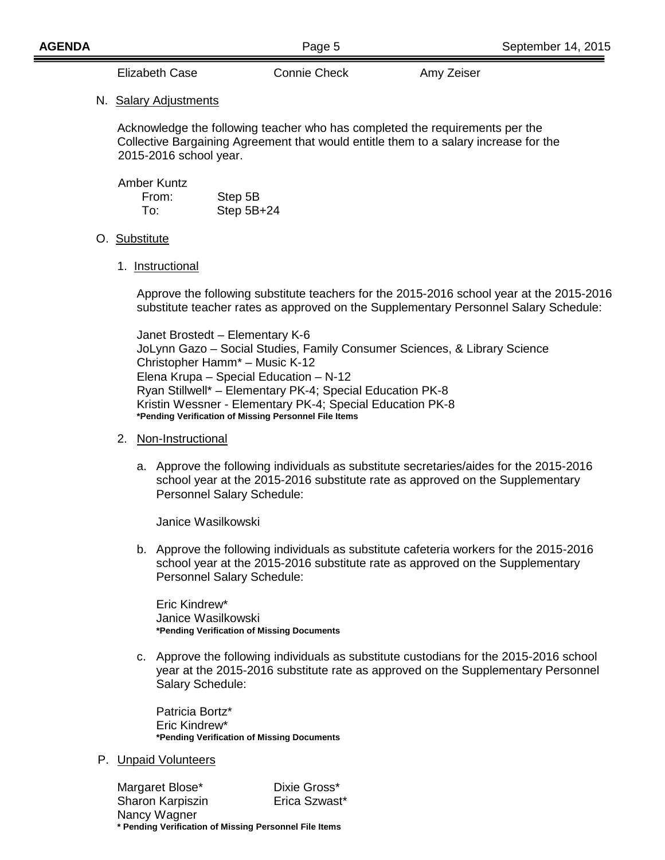Elizabeth Case Connie Check Amy Zeiser

## N. Salary Adjustments

Acknowledge the following teacher who has completed the requirements per the Collective Bargaining Agreement that would entitle them to a salary increase for the 2015-2016 school year.

Amber Kuntz

| From: | Step 5B      |
|-------|--------------|
| To:   | Step $5B+24$ |

## O. <u>Substitute</u>

1. Instructional

Approve the following substitute teachers for the 2015-2016 school year at the 2015-2016 substitute teacher rates as approved on the Supplementary Personnel Salary Schedule:

Janet Brostedt – Elementary K-6 JoLynn Gazo – Social Studies, Family Consumer Sciences, & Library Science Christopher Hamm\* – Music K-12 Elena Krupa – Special Education – N-12 Ryan Stillwell\* – Elementary PK-4; Special Education PK-8 Kristin Wessner - Elementary PK-4; Special Education PK-8 **\*Pending Verification of Missing Personnel File Items**

## 2. Non-Instructional

a. Approve the following individuals as substitute secretaries/aides for the 2015-2016 school year at the 2015-2016 substitute rate as approved on the Supplementary Personnel Salary Schedule:

Janice Wasilkowski

b. Approve the following individuals as substitute cafeteria workers for the 2015-2016 school year at the 2015-2016 substitute rate as approved on the Supplementary Personnel Salary Schedule:

Eric Kindrew\* Janice Wasilkowski **\*Pending Verification of Missing Documents**

c. Approve the following individuals as substitute custodians for the 2015-2016 school year at the 2015-2016 substitute rate as approved on the Supplementary Personnel Salary Schedule:

Patricia Bortz\* Eric Kindrew\* **\*Pending Verification of Missing Documents**

P. Unpaid Volunteers

Margaret Blose\* Dixie Gross\* Sharon Karpiszin **Erica Szwast**\* Nancy Wagner **\* Pending Verification of Missing Personnel File Items**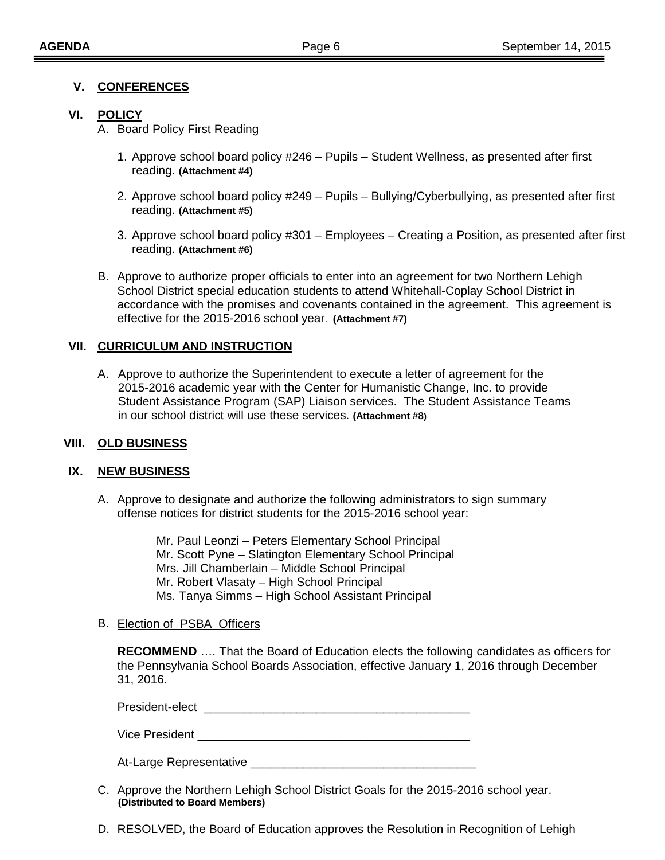# **V. CONFERENCES**

# **VI. POLICY**

A. Board Policy First Reading

- 1. Approve school board policy #246 Pupils Student Wellness, as presented after first reading. **(Attachment #4)**
- 2. Approve school board policy #249 Pupils Bullying/Cyberbullying, as presented after first reading. **(Attachment #5)**
- 3. Approve school board policy #301 Employees Creating a Position, as presented after first reading. **(Attachment #6)**
- B. Approve to authorize proper officials to enter into an agreement for two Northern Lehigh School District special education students to attend Whitehall-Coplay School District in accordance with the promises and covenants contained in the agreement. This agreement is effective for the 2015-2016 school year. **(Attachment #7)**

# **VII. CURRICULUM AND INSTRUCTION**

A. Approve to authorize the Superintendent to execute a letter of agreement for the 2015-2016 academic year with the Center for Humanistic Change, Inc. to provide Student Assistance Program (SAP) Liaison services. The Student Assistance Teams in our school district will use these services. **(Attachment #8)**

## **VIII. OLD BUSINESS**

## **IX. NEW BUSINESS**

A. Approve to designate and authorize the following administrators to sign summary offense notices for district students for the 2015-2016 school year:

> Mr. Paul Leonzi – Peters Elementary School Principal Mr. Scott Pyne – Slatington Elementary School Principal Mrs. Jill Chamberlain – Middle School Principal Mr. Robert Vlasaty – High School Principal Ms. Tanya Simms – High School Assistant Principal

## B. Election of PSBA Officers

**RECOMMEND** …. That the Board of Education elects the following candidates as officers for the Pennsylvania School Boards Association, effective January 1, 2016 through December 31, 2016.

President-elect \_\_\_\_\_\_\_\_\_\_\_\_\_\_\_\_\_\_\_\_\_\_\_\_\_\_\_\_\_\_\_\_\_\_\_\_\_\_\_\_

Vice President **Exercise Server Server Server Server Server Server Server Server Server Server Server Server Server Server Server Server Server Server Server Server Server Server Server Server Server Server Server Server S** 

At-Large Representative \_\_\_\_\_\_\_\_\_\_\_\_\_\_\_\_\_\_\_\_\_\_\_\_\_\_\_\_\_\_\_\_\_\_

- C. Approve the Northern Lehigh School District Goals for the 2015-2016 school year. **(Distributed to Board Members)**
- D. RESOLVED, the Board of Education approves the Resolution in Recognition of Lehigh